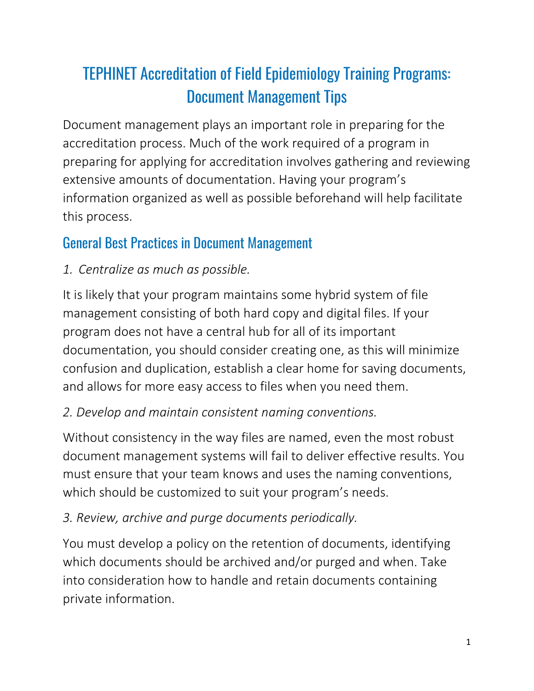# TEPHINET Accreditation of Field Epidemiology Training Programs: Document Management Tips

Document management plays an important role in preparing for the accreditation process. Much of the work required of a program in preparing for applying for accreditation involves gathering and reviewing extensive amounts of documentation. Having your program's information organized as well as possible beforehand will help facilitate this process.

## General Best Practices in Document Management

#### *1. Centralize as much as possible.*

It is likely that your program maintains some hybrid system of file management consisting of both hard copy and digital files. If your program does not have a central hub for all of its important documentation, you should consider creating one, as this will minimize confusion and duplication, establish a clear home for saving documents, and allows for more easy access to files when you need them.

#### *2. Develop and maintain consistent naming conventions.*

Without consistency in the way files are named, even the most robust document management systems will fail to deliver effective results. You must ensure that your team knows and uses the naming conventions, which should be customized to suit your program's needs.

### *3. Review, archive and purge documents periodically.*

You must develop a policy on the retention of documents, identifying which documents should be archived and/or purged and when. Take into consideration how to handle and retain documents containing private information.